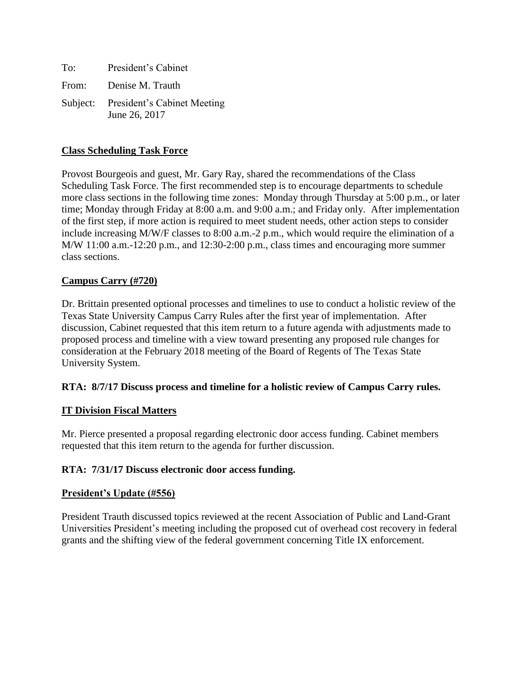| To: | President's Cabinet                                   |
|-----|-------------------------------------------------------|
|     | From: Denise M. Trauth                                |
|     | Subject: President's Cabinet Meeting<br>June 26, 2017 |

# **Class Scheduling Task Force**

Provost Bourgeois and guest, Mr. Gary Ray, shared the recommendations of the Class Scheduling Task Force. The first recommended step is to encourage departments to schedule more class sections in the following time zones: Monday through Thursday at 5:00 p.m., or later time; Monday through Friday at 8:00 a.m. and 9:00 a.m.; and Friday only. After implementation of the first step, if more action is required to meet student needs, other action steps to consider include increasing M/W/F classes to 8:00 a.m.-2 p.m., which would require the elimination of a M/W 11:00 a.m.-12:20 p.m., and 12:30-2:00 p.m., class times and encouraging more summer class sections.

## **Campus Carry (#720)**

Dr. Brittain presented optional processes and timelines to use to conduct a holistic review of the Texas State University Campus Carry Rules after the first year of implementation. After discussion, Cabinet requested that this item return to a future agenda with adjustments made to proposed process and timeline with a view toward presenting any proposed rule changes for consideration at the February 2018 meeting of the Board of Regents of The Texas State University System.

### **RTA: 8/7/17 Discuss process and timeline for a holistic review of Campus Carry rules.**

### **IT Division Fiscal Matters**

Mr. Pierce presented a proposal regarding electronic door access funding. Cabinet members requested that this item return to the agenda for further discussion.

### **RTA: 7/31/17 Discuss electronic door access funding.**

### **President's Update (#556)**

President Trauth discussed topics reviewed at the recent Association of Public and Land-Grant Universities President's meeting including the proposed cut of overhead cost recovery in federal grants and the shifting view of the federal government concerning Title IX enforcement.